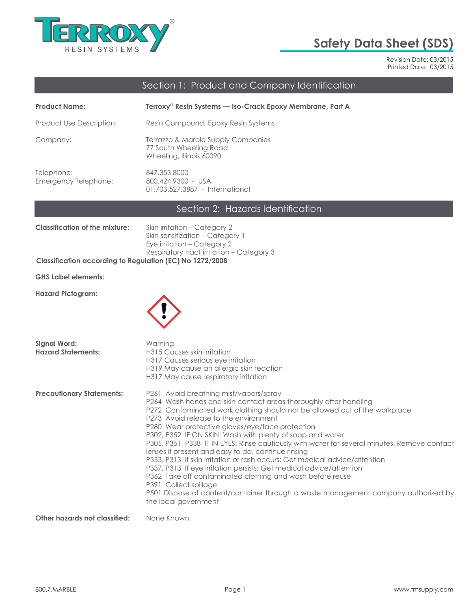

# **Safety Data Sheet (SDS)**

Revision Date: 03/2015 Printed Date: 03/2015

# Section 1: Product and Company Identification

| <b>Product Name:</b>               | Terroxy® Resin Systems — Iso-Crack Epoxy Membrane, Part A                                |
|------------------------------------|------------------------------------------------------------------------------------------|
| Product Use Description:           | Resin Compound, Epoxy Resin Systems                                                      |
| Company:                           | Terrazzo & Marble Supply Companies<br>77 South Wheeling Road<br>Wheeling, Illinois 60090 |
| Telephone:<br>Emergency Telephone: | 847.353.8000<br>800.424.9300 - USA<br>01.703.527.3887 - International                    |

# Section 2: Hazards Identification

| Classification of the mixture: | Skin irritation – Category 2              |
|--------------------------------|-------------------------------------------|
|                                | Skin sensitization – Category 1           |
|                                | Eye irritation – Category 2               |
|                                | Respiratory tract irritation – Category 3 |
| C <sub>2</sub>                 |                                           |

#### **Classification according to Regulation (EC) No 1272/2008**

**GHS Label elements:**

**Hazard Pictogram:**



| <b>Signal Word:</b><br><b>Hazard Statements:</b> | Warning<br>H315 Causes skin irritation<br>H317 Causes serious eye irritation<br>H319 May cause an allergic skin reaction<br>H317 May cause respiratory irritation                                                                                                                                                                                                                                                                                                                                                                                                                                                                                                                                                                                                                                                                                                |
|--------------------------------------------------|------------------------------------------------------------------------------------------------------------------------------------------------------------------------------------------------------------------------------------------------------------------------------------------------------------------------------------------------------------------------------------------------------------------------------------------------------------------------------------------------------------------------------------------------------------------------------------------------------------------------------------------------------------------------------------------------------------------------------------------------------------------------------------------------------------------------------------------------------------------|
| <b>Precautionary Statements:</b>                 | P261 Avoid breathing mist/vapors/spray<br>P264 Wash hands and skin contact areas thoroughly after handling<br>P272 Contaminated work clothing should not be allowed out of the workplace<br>P273 Avoid release to the environment<br>P280 Wear protective gloves/eye/face protection<br>P302, P352 IF ON SKIN: Wash with plenty of soap and water<br>P305, P351, P338 IF IN EYES: Rinse cautiously with water for several minutes. Remove contact<br>lenses if present and easy to do, continue rinsing<br>P333, P313 If skin irritation or rash occurs: Get medical advice/attention<br>P337, P313 If eye irritation persists: Get medical advice/attention<br>P362 Take off contaminated clothing and wash before reuse<br>P391 Collect spillage<br>P501 Dispose of content/container through a waste management company authorized by<br>the local government |
| Other hazards not classified:                    | None Known                                                                                                                                                                                                                                                                                                                                                                                                                                                                                                                                                                                                                                                                                                                                                                                                                                                       |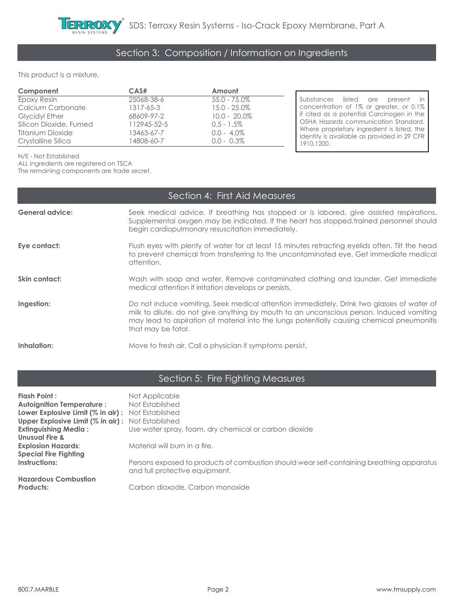# Section 3: Composition / Information on Ingredients

This product is a mixture.

| Component              | CAS#        | Amount          |                                                                                            |
|------------------------|-------------|-----------------|--------------------------------------------------------------------------------------------|
| Epoxy Resin            | 25068-38-6  | $55.0 - 75.0\%$ | Substances listed are present in                                                           |
| Calcium Carbonate      | 1317-65-3   | $15.0 - 25.0\%$ | concentration of 1% or greater, or 0.1%                                                    |
| <b>Glycidyl Ether</b>  | 68609-97-2  | $10.0 - 20.0\%$ | If cited as a potential Carcinogen in the                                                  |
| Silicon Dioxide, Fumed | 112945-52-5 | $0.5 - 1.5\%$   | OSHA Hazards communication Standard.                                                       |
| Titanium Dioxide       | 13463-67-7  | $0.0 - 4.0\%$   | Where proprietary ingredient is listed, the<br>identity is available as provided in 29 CFR |
| Crystalline Silica     | 14808-60-7  | $0.0 - 0.3\%$   | 1910.1200.                                                                                 |

N/E - Not Established

ALL ingredients are registered on TSCA

The remaining components are trade secret.

| Section 4: First Aid Measures |                                                                                                                                                                                                                                          |  |  |
|-------------------------------|------------------------------------------------------------------------------------------------------------------------------------------------------------------------------------------------------------------------------------------|--|--|
| <b>General advice:</b>        | Seek medical advice. If breathing has stopped or is labored, give assisted respirations.<br>Supplemental oxygen may be indicated. If the heart has stopped, trained personnel should<br>begin cardiopulmonary resuscitation immediately. |  |  |
| Eye contact:                  | Flush eyes with plenty of water for at least 15 minutes retracting eyelids often. Tilt the head<br>to prevent chemical from transferring to the uncontaminated eye. Get immediate medical<br>attention.                                  |  |  |
| Skin contact:                 | Wash with soap and water. Remove contaminated clothing and launder. Get immediate<br>medical attention if irritation develops or persists.                                                                                               |  |  |
| Ingestion:                    | Do not induce vomiting. Seek medical attention immediately. Drink two glasses of water of<br>milk to dilute. do not give anything by mouth to an unconscious person. Induced vomiting                                                    |  |  |

milk to dilute. do not give anything by mouth to an unconscious person. Induced vomiting may lead to aspiration of material into the lungs potentially causing chemical pneumonitis that may be fatal.

**Inhalation:** Move to fresh air. Call a physician if symptoms persist.

### Section 5: Fire Fighting Measures

| Flash Point :                                            | Not Applicable                                                                                                              |
|----------------------------------------------------------|-----------------------------------------------------------------------------------------------------------------------------|
| <b>Autoignition Temperature:</b>                         | Not Established                                                                                                             |
| <b>Lower Explosive Limit (% in air):</b> Not Established |                                                                                                                             |
| <b>Upper Explosive Limit (% in air):</b> Not Established |                                                                                                                             |
| <b>Extinguishing Media:</b>                              | Use water spray, foam, dry chemical or carbon dioxide                                                                       |
| <b>Unusual Fire &amp;</b>                                |                                                                                                                             |
| <b>Explosion Hazards:</b>                                | Material will burn in a fire.                                                                                               |
| <b>Special Fire Fighting</b>                             |                                                                                                                             |
| Instructions:                                            | Persons exposed to products of combustion should wear self-containing breathing apparatus<br>and full protective equipment. |
| <b>Hazardous Combustion</b>                              |                                                                                                                             |
| Products:                                                | Carbon dioxode, Carbon monoxide                                                                                             |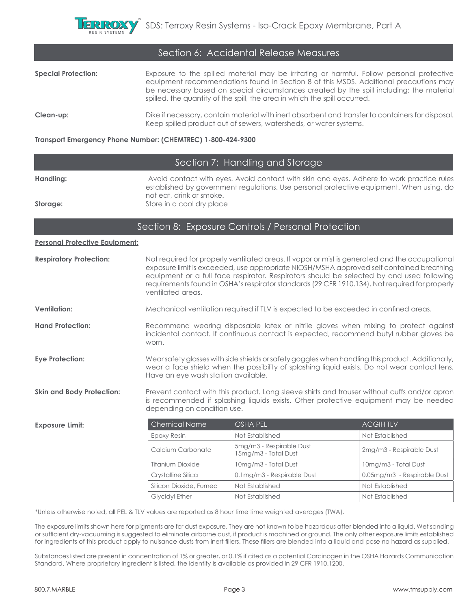

| Section 6: Accidental Release Measures |                                                                                                                                                                                                                                                                                                                                                             |  |  |
|----------------------------------------|-------------------------------------------------------------------------------------------------------------------------------------------------------------------------------------------------------------------------------------------------------------------------------------------------------------------------------------------------------------|--|--|
| <b>Special Protection:</b>             | Exposure to the spilled material may be irritating or harmful. Follow personal protective<br>equipment recommendations found in Section 8 of this MSDS. Additional precautions may<br>be necessary based on special circumstances created by the spill including; the material<br>spilled, the quantity of the spill, the area in which the spill occurred. |  |  |
| Clean-up:                              | Dike if necessary, contain material with inert absorbent and transfer to containers for disposal.<br>Keep spilled product out of sewers, watersheds, or water systems.                                                                                                                                                                                      |  |  |

#### **Transport Emergency Phone Number: (CHEMTREC) 1-800-424-9300**

### Section 7: Handling and Storage

| Handling: | Avoid contact with eyes. Avoid contact with skin and eyes. Adhere to work practice rules |
|-----------|------------------------------------------------------------------------------------------|
|           | established by government regulations. Use personal protective equipment. When using, do |
|           | not eat, drink or smoke.                                                                 |
| Storage:  | Store in a cool dry place                                                                |

#### Section 8: Exposure Controls / Personal Protection

### **Personal Protective Equipment:**

| <b>Respiratory Protection:</b>   | Not required for properly ventilated areas. If vapor or mist is generated and the occupational<br>exposure limit is exceeded, use appropriate NIOSH/MSHA approved self contained breathing<br>equipment or a full face respirator. Respirators should be selected by and used following<br>requirements found in OSHA's respirator standards (29 CFR 1910.134). Not required for properly<br>ventilated areas. |                                                                                      |                          |
|----------------------------------|----------------------------------------------------------------------------------------------------------------------------------------------------------------------------------------------------------------------------------------------------------------------------------------------------------------------------------------------------------------------------------------------------------------|--------------------------------------------------------------------------------------|--------------------------|
| <b>Ventilation:</b>              |                                                                                                                                                                                                                                                                                                                                                                                                                | Mechanical ventilation required if TLV is expected to be exceeded in confined areas. |                          |
| <b>Hand Protection:</b>          | Recommend wearing disposable latex or nitrile gloves when mixing to protect against<br>incidental contact. If continuous contact is expected, recommend butyl rubber gloves be<br>worn.                                                                                                                                                                                                                        |                                                                                      |                          |
| <b>Eye Protection:</b>           | Wear safety glasses with side shields or safety goggles when handling this product. Additionally,<br>wear a face shield when the possibility of splashing liquid exists. Do not wear contact lens.<br>Have an eye wash station available.                                                                                                                                                                      |                                                                                      |                          |
| <b>Skin and Body Protection:</b> | Prevent contact with this product. Long sleeve shirts and trouser without cuffs and/or apron<br>is recommended if splashing liquids exists. Other protective equipment may be needed<br>depending on condition use.                                                                                                                                                                                            |                                                                                      |                          |
| <b>Exposure Limit:</b>           | <b>Chemical Name</b>                                                                                                                                                                                                                                                                                                                                                                                           | OSHA PEL                                                                             | <b>ACGIHTLV</b>          |
|                                  | Epoxy Resin                                                                                                                                                                                                                                                                                                                                                                                                    | Not Established                                                                      | Not Established          |
|                                  | Calcium Carbonate                                                                                                                                                                                                                                                                                                                                                                                              | 5mg/m3 - Respirable Dust<br>15mg/m3 - Total Dust                                     | 2mg/m3 - Respirable Dust |
|                                  | <b>Titanium Dioxide</b>                                                                                                                                                                                                                                                                                                                                                                                        | 10mg/m3 - Total Dust                                                                 | 10mg/m3 - Total Dust     |

\*Unless otherwise noted, all PEL & TLV values are reported as 8 hour time time weighted averages (TWA).

The exposure limits shown here for pigments are for dust exposure. They are not known to be hazardous after blended into a liquid. Wet sanding or sufficient dry-vacuuming is suggested to eliminate airborne dust, if product is machined or ground. The only other exposure limits established for ingredients of this product apply to nuisance dusts from inert fillers. These fillers are blended into a liquid and pose no hazard as supplied.

Crystalline Silica 0.1mg/m3 - Respirable Dust 0.05mg/m3 - Respirable Dust

Silicon Dioxide, Fumed | Not Established | Not Established | Not Established Glycidyl Ether Not Established Not Established Not Established

Substances listed are present in concentration of 1% or greater, or 0.1% if cited as a potential Carcinogen in the OSHA Hazards Communication Standard. Where proprietary ingredient is listed, the identity is available as provided in 29 CFR 1910.1200.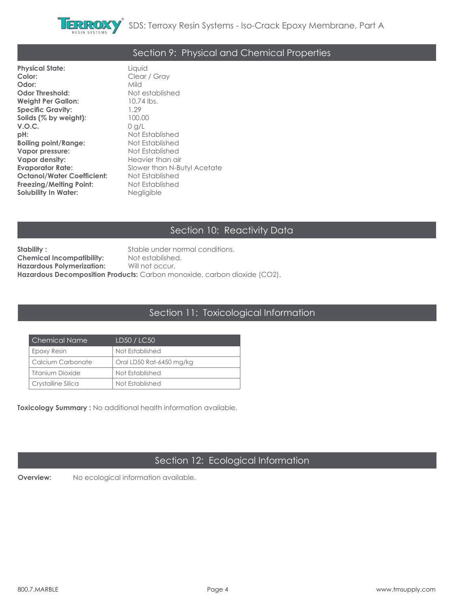

### Section 9: Physical and Chemical Properties

**Physical State:** Liquid **Odor:** Mild **Odor Threshold:** Not established **Weight Per Gallon:** 10.74 lbs. **Specific Gravity:** 1.29<br>**Solids (% by weiaht):** 100.00 Solids (% by weight): **V.O.C.** 0 g/L<br>**pH:** Not E **Boiling point/Range:** Not Established **Vapor pressure:** Not Established **Vapor density:** Heavier than air **Evaporator Rate:** Slower than N-Butyl Acetate **Octanol/Water Coefficient:** Not Established **Freezing/Melting Point:** Not Established **Solubility In Water:** Negligible

Clear / Gray **pH:** Not Established

### Section 10: Reactivity Data

**Stability :** Stable under normal conditions. **Chemical Incompatibility:** Not established.<br>**Hazardous Polymerization:** Will not occur. **Hazardous Polymerization: Hazardous Decomposition Products:** Carbon monoxide, carbon dioxide (CO2).

#### Section 11: Toxicological Information

| Chemical Name      | LD50 / LC50              |
|--------------------|--------------------------|
| Epoxy Resin        | Not Established          |
| Calcium Carbonate  | Oral LD50 Rat-6450 mg/kg |
| Titanium Dioxide   | Not Established          |
| Crystalline Silica | Not Established          |

**Toxicology Summary :** No additional health information available.

### Section 12: Ecological Information

**Overview:** No ecological information available.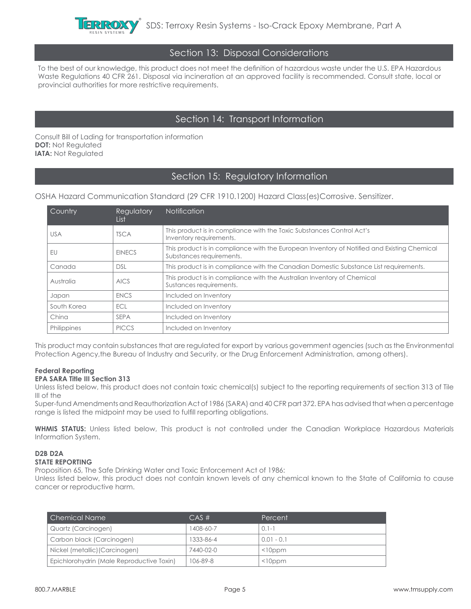

#### Section 13: Disposal Considerations

To the best of our knowledge, this product does not meet the definition of hazardous waste under the U.S. EPA Hazardous Waste Regulations 40 CFR 261. Disposal via incineration at an approved facility is recommended. Consult state, local or provincial authorities for more restrictive requirements.

#### Section 14: Transport Information

Consult Bill of Lading for transportation information **DOT:** Not Regulated **IATA: Not Regulated** 

#### Section 15: Regulatory Information

OSHA Hazard Communication Standard (29 CFR 1910.1200) Hazard Class(es)Corrosive. Sensitizer.

| Country     | Regulatory<br>List | <b>Notification</b>                                                                                                     |
|-------------|--------------------|-------------------------------------------------------------------------------------------------------------------------|
| <b>USA</b>  | <b>TSCA</b>        | This product is in compliance with the Toxic Substances Control Act's<br>Inventory requirements.                        |
| EU          | <b>EINECS</b>      | This product is in compliance with the European Inventory of Notified and Existing Chemical<br>Substances requirements. |
| Canada      | <b>DSL</b>         | This product is in compliance with the Canadian Domestic Substance List requirements.                                   |
| Australia   | <b>AICS</b>        | This product is in compliance with the Australian Inventory of Chemical<br>Sustances requirements.                      |
| Japan       | <b>ENCS</b>        | Included on Inventory                                                                                                   |
| South Korea | <b>ECL</b>         | Included on Inventory                                                                                                   |
| China       | <b>SEPA</b>        | Included on Inventory                                                                                                   |
| Philippines | <b>PICCS</b>       | Included on Inventory                                                                                                   |

This product may contain substances that are regulated for export by various government agencies (such as the Environmental Protection Agency,the Bureau of Industry and Security, or the Drug Enforcement Administration, among others).

#### **Federal Reporting**

#### **EPA SARA Title III Section 313**

Unless listed below, this product does not contain toxic chemical(s) subject to the reporting requirements of section 313 of Tile III of the

Super-fund Amendments and Reauthorization Act of 1986 (SARA) and 40 CFR part 372. EPA has advised that when a percentage range is listed the midpoint may be used to fulfill reporting obligations.

**WHMIS STATUS:** Unless listed below, This product is not controlled under the Canadian Workplace Hazardous Materials Information System.

#### **D2B D2A STATE REPORTING**

Proposition 65, The Safe Drinking Water and Toxic Enforcement Act of 1986:

Unless listed below, this product does not contain known levels of any chemical known to the State of California to cause cancer or reproductive harm.

| Chemical Name                             | $CAS \#$  | Percent       |
|-------------------------------------------|-----------|---------------|
| Quartz (Carcinogen)                       | 1408-60-7 | $0.1 - 1$     |
| Carbon black (Carcinogen)                 | 1333-86-4 | $0.01 - 0.1$  |
| Nickel (metallic) (Carcinogen)            | 7440-02-0 | $<$ l $0$ ppm |
| Epichlorohydrin (Male Reproductive Toxin) | 106-89-8  | $<$ l $0$ ppm |